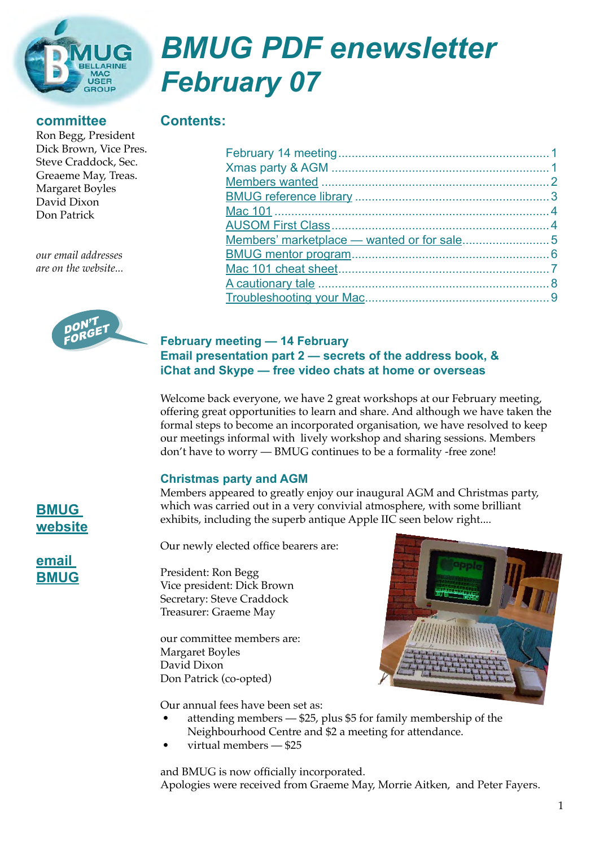

# *BMUG PDF enewsletter February 07*

#### **committee**

Ron Begg, President Dick Brown, Vice Pres. Steve Craddock, Sec. Greaeme May, Treas. Margaret Boyles David Dixon Don Patrick

**Contents:**

*our email addresses are on the website...*



#### **February meeting — 14 February Email presentation part 2 — secrets of the address book, & iChat and Skype — free video chats at home or overseas**

Welcome back everyone, we have 2 great workshops at our February meeting, offering great opportunities to learn and share. And although we have taken the formal steps to become an incorporated organisation, we have resolved to keep our meetings informal with lively workshop and sharing sessions. Members don't have to worry — BMUG continues to be a formality -free zone!

#### **Christmas party and AGM**

Members appeared to greatly enjoy our inaugural AGM and Christmas party, which was carried out in a very convivial atmosphere, with some brilliant exhibits, including the superb antique Apple IIC seen below right....

Our newly elected office bearers are:

President: Ron Begg Vice president: Dick Brown Secretary: Steve Craddock Treasurer: Graeme May

our committee members are: Margaret Boyles David Dixon Don Patrick (co-opted)



Our annual fees have been set as:

- attending members \$25, plus \$5 for family membership of the Neighbourhood Centre and \$2 a meeting for attendance.
- virtual members \$25

and BMUG is now officially incorporated. Apologies were received from Graeme May, Morrie Aitken, and Peter Fayers.

**[BMUG](http://www.bellarinemac.org.au/welcome.html)  [website](http://www.bellarinemac.org.au/welcome.html)**

## **[email](mailto:info@bellarinemac.org.au)  [BMUG](mailto:info@bellarinemac.org.au)**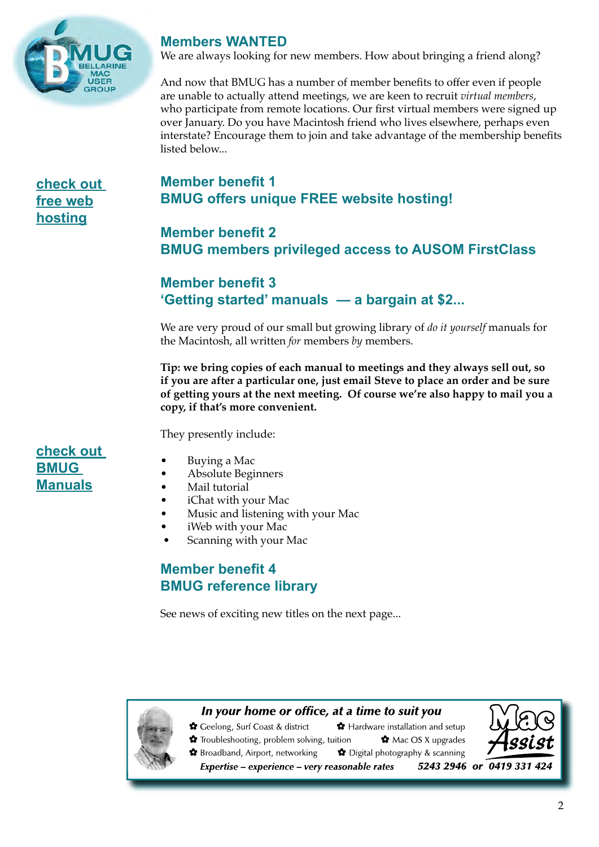<span id="page-1-0"></span>

#### **Members WANTED**

We are always looking for new members. How about bringing a friend along?

And now that BMUG has a number of member benefits to offer even if people are unable to actually attend meetings, we are keen to recruit *virtual members*, who participate from remote locations. Our first virtual members were signed up over January. Do you have Macintosh friend who lives elsewhere, perhaps even interstate? Encourage them to join and take advantage of the membership benefits listed below...

**[check out](http://www.bellarinemac.org/)  [free web](http://www.bellarinemac.org/) [hosting](http://www.bellarinemac.org/)**

# **Member benefit 1 BMUG offers unique FREE website hosting!**

**Member benefit 2 BMUG members privileged access to AUSOM FirstClass**

## **Member benefit 3 'Getting started' manuals — a bargain at \$2...**

We are very proud of our small but growing library of *do it yourself* manuals for the Macintosh, all written *for* members *by* members.

**Tip: we bring copies of each manual to meetings and they always sell out, so if you are after a particular one, just email Steve to place an order and be sure of getting yours at the next meeting. Of course we're also happy to mail you a copy, if that's more convenient.**

They presently include:

## **[check out](http://www.bellarinemac.org.au/BMUGmanuals.html)  [BMUG](http://www.bellarinemac.org.au/BMUGmanuals.html)  [Manuals](http://www.bellarinemac.org.au/BMUGmanuals.html)**

- Buying a Mac
- Absolute Beginners
- Mail tutorial
- iChat with your Mac
- Music and listening with your Mac
- iWeb with your Mac
- Scanning with your Mac

## **Member benefit 4 BMUG reference library**

See news of exciting new titles on the next page...

**✿** Troubleshooting, problem solving, tuition

#### In your home or office, at a time to suit you

Ceelong, Surf Coast & district \* Hardware installation and setup

 $\mathbf{\hat{z}}$  Mac OS X upgrades



✿ Broadband, Airport, networking ✿ Digital photography & scanning Expertise - experience - very reasonable rates

5243 2946 or 0419 331 424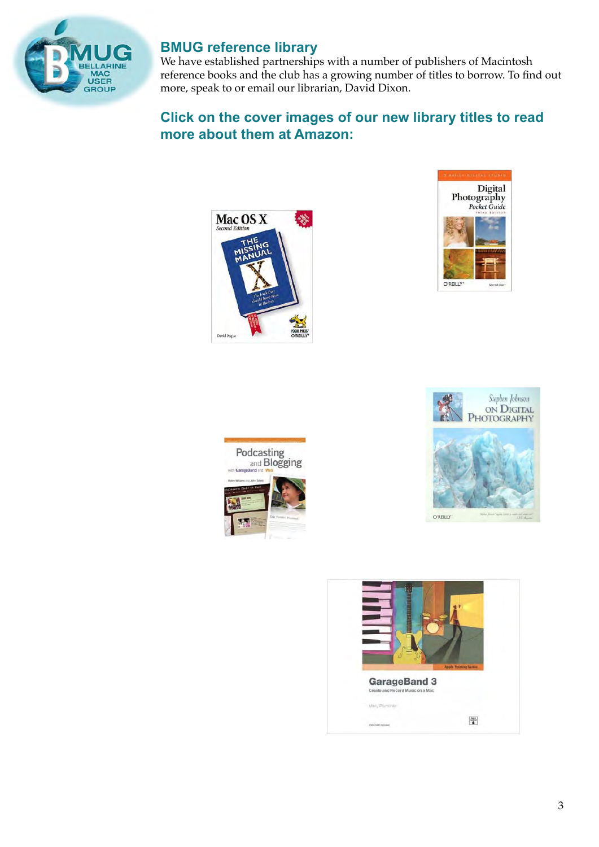<span id="page-2-0"></span>

# **BMUG reference library**

We have established partnerships with a number of publishers of Macintosh reference books and the club has a growing number of titles to borrow. To find out more, speak to or email our librarian, David Dixon.

## **Click on the cover images of our new library titles to read more about them at Amazon:**









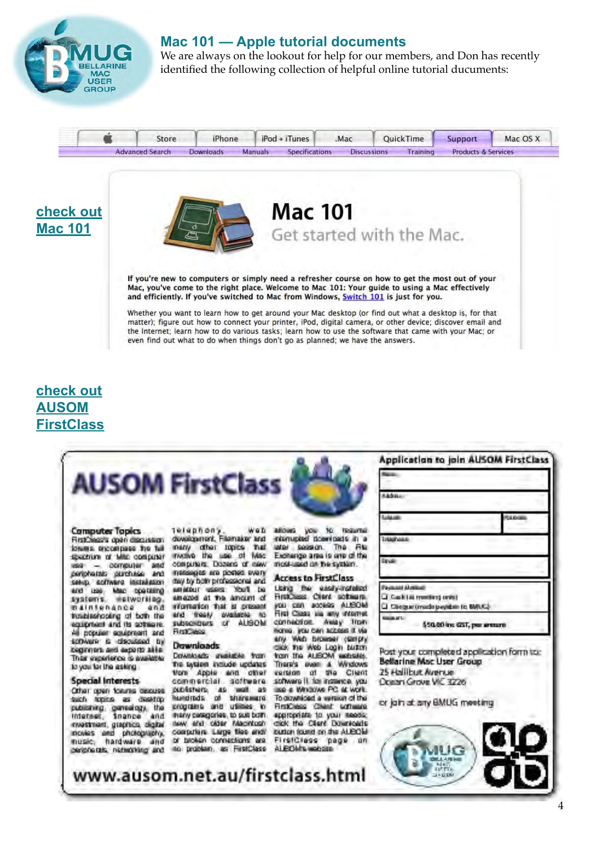<span id="page-3-0"></span>

#### **Mac 101 — Apple tutorial documents**

We are always on the lookout for help for our members, and Don has recently identified the following collection of helpful online tutorial ducuments:



# **[check out](http://www.apple.com/support/mac101/) [Mac 101](http://www.apple.com/support/mac101/)**





If you're new to computers or simply need a refresher course on how to get the most out of your Mac, you've come to the right place. Welcome to Mac 101: Your guide to using a Mac effectively and efficiently. If you've switched to Mac from Windows, Switch 101 is just for you.

Whether you want to learn how to get around your Mac desktop (or find out what a desktop is, for that matter); figure out how to connect your printer, iPod, digital camera, or other device; discover email and the Internet: learn how to do various tasks: learn how to use the software that came with your Mac: or even find out what to do when things don't go as planned; we have the answers.

# **[check out](http://www.bellarinemac.org.au/firstclass.html) [AUSOM](http://www.bellarinemac.org.au/firstclass.html) [FirstClass](http://www.bellarinemac.org.au/firstclass.html)**

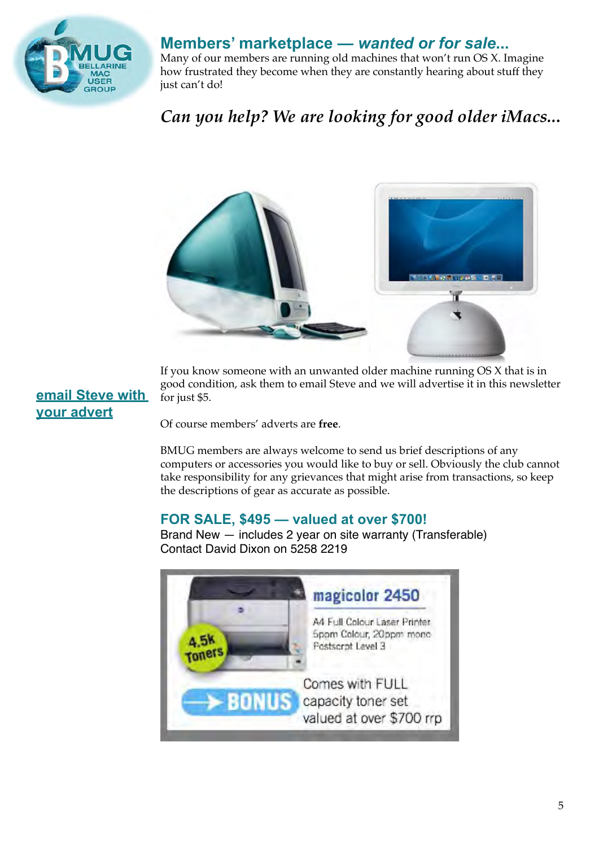<span id="page-4-0"></span>

# **Members' marketplace —** *wanted or for sale***...**

Many of our members are running old machines that won't run OS X. Imagine how frustrated they become when they are constantly hearing about stuff they just can't do!

# *Can you help? We are looking for good older iMacs..***.**



If you know someone with an unwanted older machine running OS X that is in good condition, ask them to email Steve and we will advertise it in this newsletter for just \$5.

# **[email Steve](mailto:stevecraddock@bellarinemac.org.au) with your advert**

Of course members' adverts are **free**.

BMUG members are always welcome to send us brief descriptions of any computers or accessories you would like to buy or sell. Obviously the club cannot take responsibility for any grievances that might arise from transactions, so keep the descriptions of gear as accurate as possible.

## **FOR SALE, \$495 — valued at over \$700!**

Brand New — includes 2 year on site warranty (Transferable) Contact David Dixon on 5258 2219

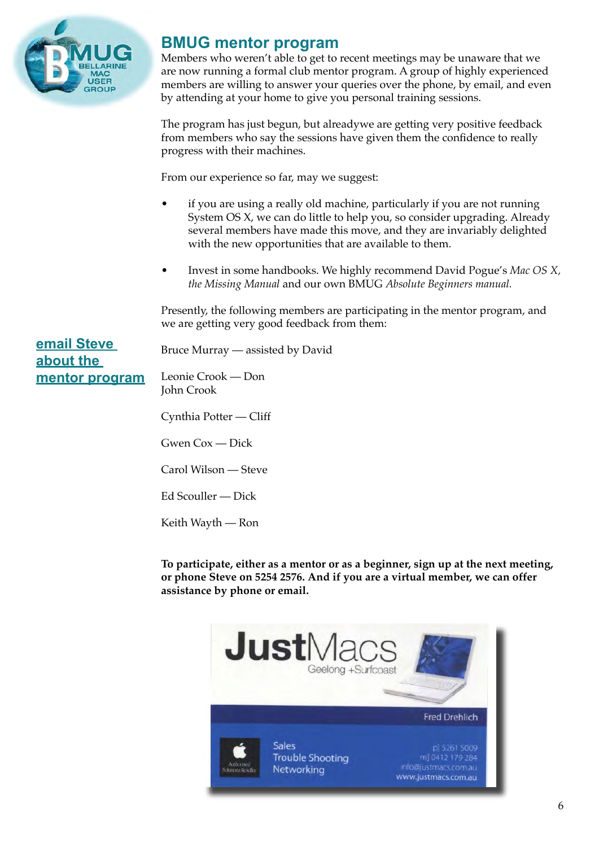<span id="page-5-0"></span>

# **BMUG mentor program**

Members who weren't able to get to recent meetings may be unaware that we are now running a formal club mentor program. A group of highly experienced members are willing to answer your queries over the phone, by email, and even by attending at your home to give you personal training sessions.

The program has just begun, but alreadywe are getting very positive feedback from members who say the sessions have given them the confidence to really progress with their machines.

From our experience so far, may we suggest:

- if you are using a really old machine, particularly if you are not running System OS X, we can do little to help you, so consider upgrading. Already several members have made this move, and they are invariably delighted with the new opportunities that are available to them.
- Invest in some handbooks. We highly recommend David Pogue's *Mac OS X, the Missing Manual* and our own BMUG *Absolute Beginners manual.*

Presently, the following members are participating in the mentor program, and we are getting very good feedback from them:

**[email Steve](mailto:stevecraddock@bellarinemac.org.au) about the mentor program**

Bruce Murray — assisted by David

Leonie Crook — Don John Crook

Cynthia Potter — Cliff

Gwen Cox — Dick

Carol Wilson — Steve

Ed Scouller — Dick

Keith Wayth — Ron

**To participate, either as a mentor or as a beginner, sign up at the next meeting, or phone Steve on 5254 2576. And if you are a virtual member, we can offer assistance by phone or email.**

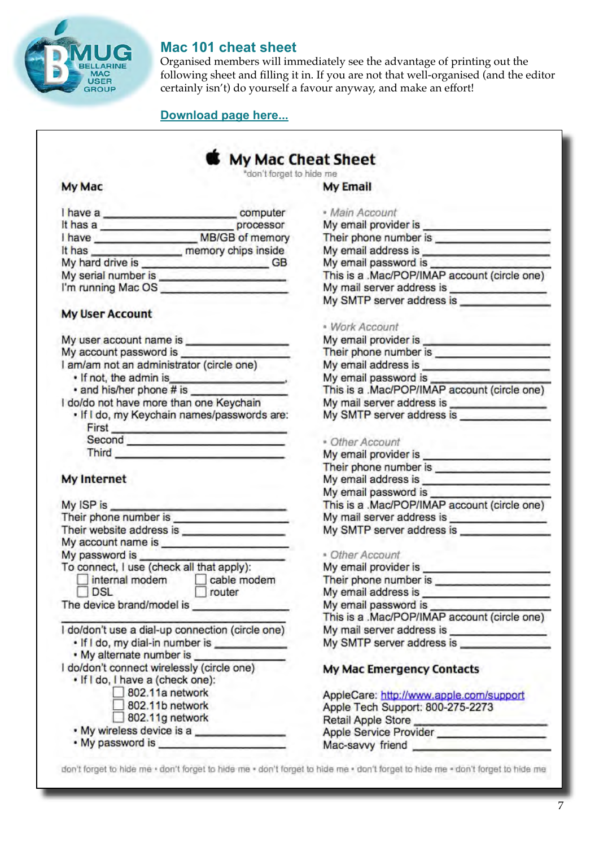<span id="page-6-0"></span>

#### **Mac 101 cheat sheet**

Organised members will immediately see the advantage of printing out the following sheet and filling it in. If you are not that well-organised (and the editor certainly isn't) do yourself a favour anyway, and make an effort!

#### **[Download page here...](http://www.apple.com/support/mac101/cheatsheet)**

# My Mac Cheat Sheet

"don't forget to hide me

#### **My Mac**

| I have a            | computer            |
|---------------------|---------------------|
| It has a            | processor           |
| I have              | MB/GB of memory     |
| It has              | memory chips inside |
| My hard drive is    | GB                  |
| My serial number is |                     |
| I'm running Mac OS  |                     |

#### **My User Account**

| My user account name is                    |  |
|--------------------------------------------|--|
| My account password is                     |  |
| I am/am not an administrator (circle one)  |  |
| . If not, the admin is                     |  |
| · and his/her phone # is                   |  |
| I do/do not have more than one Keychain    |  |
| . If I do, my Keychain names/passwords are |  |
| $=$ iret                                   |  |

| <b>First</b> |  |
|--------------|--|
| Second       |  |
| Third        |  |

#### **My Internet**

| My ISP is                                                                                                                                                                                                                     |
|-------------------------------------------------------------------------------------------------------------------------------------------------------------------------------------------------------------------------------|
| Their phone number is experience of the state of the state of the state of the state of the state of the state of the state of the state of the state of the state of the state of the state of the state of the state of the |
|                                                                                                                                                                                                                               |
| My account name is <b>All Account name is</b>                                                                                                                                                                                 |
| My password is                                                                                                                                                                                                                |
| To connect, I use (check all that apply):<br>internal modem cable modem<br>DSL<br>router                                                                                                                                      |
| The device brand/model is                                                                                                                                                                                                     |
| I do/don't use a dial-up connection (circle one)<br>. If I do, my dial-in number is _____                                                                                                                                     |
| . My alternate number is ___                                                                                                                                                                                                  |
| I do/don't connect wirelessly (circle one)                                                                                                                                                                                    |
| . If I do, I have a (check one):                                                                                                                                                                                              |
| 802.11a network                                                                                                                                                                                                               |
| 802.11b network                                                                                                                                                                                                               |
| $802.11g$ network                                                                                                                                                                                                             |
| · My wireless device is a                                                                                                                                                                                                     |
| . My password is                                                                                                                                                                                                              |

| My Email                                                                                                                                                                                                                             |  |
|--------------------------------------------------------------------------------------------------------------------------------------------------------------------------------------------------------------------------------------|--|
| · Main Account                                                                                                                                                                                                                       |  |
| * Main Account<br>My email provider is ___________________                                                                                                                                                                           |  |
|                                                                                                                                                                                                                                      |  |
| My email address is <b>example and the set of the set of the set of the set of the set of the set of the set of the set of the set of the set of the set of the set of the set of the set of the set of the set of the set of th</b> |  |
|                                                                                                                                                                                                                                      |  |
| My email password is<br>This is a .Mac/POP/IMAP account (circle one)                                                                                                                                                                 |  |
|                                                                                                                                                                                                                                      |  |
|                                                                                                                                                                                                                                      |  |
| · Work Account                                                                                                                                                                                                                       |  |
| My email provider is _______________________                                                                                                                                                                                         |  |
| Their phone number is                                                                                                                                                                                                                |  |
|                                                                                                                                                                                                                                      |  |
|                                                                                                                                                                                                                                      |  |
| My email password is <b>Manufall Contains and This is a</b> .Mac/POP/IMAP account (circle one)                                                                                                                                       |  |
| My mail server address is <b>with a manufacturer of the server</b>                                                                                                                                                                   |  |
| My SMTP server address is ______________                                                                                                                                                                                             |  |
|                                                                                                                                                                                                                                      |  |
| • Other Account                                                                                                                                                                                                                      |  |
| * Other Account<br>My email provider is _____________________                                                                                                                                                                        |  |
|                                                                                                                                                                                                                                      |  |
|                                                                                                                                                                                                                                      |  |
|                                                                                                                                                                                                                                      |  |
| This is a .Mac/POP/IMAP account (circle one)                                                                                                                                                                                         |  |
| My mail server address is __________________                                                                                                                                                                                         |  |
| My SMTP server address is <b>server</b>                                                                                                                                                                                              |  |
| * Other Account                                                                                                                                                                                                                      |  |
| My email provider is                                                                                                                                                                                                                 |  |
|                                                                                                                                                                                                                                      |  |
|                                                                                                                                                                                                                                      |  |
| My email password is                                                                                                                                                                                                                 |  |
| This is a .Mac/POP/IMAP account (circle one)                                                                                                                                                                                         |  |
| My mail server address is <b>server</b>                                                                                                                                                                                              |  |
| My SMTP server address is                                                                                                                                                                                                            |  |
| My Mac Emergency Contacts                                                                                                                                                                                                            |  |
|                                                                                                                                                                                                                                      |  |
| AppleCare: http://www.apple.com/support                                                                                                                                                                                              |  |
| Apple Tech Support: 800-275-2273                                                                                                                                                                                                     |  |
| Retail Apple Store                                                                                                                                                                                                                   |  |
| Apple Service Provider                                                                                                                                                                                                               |  |

Mac-savvy friend

don't forget to hide me · don't forget to hide me · don't forget to hide me · don't forget to hide me · don't forget to hide me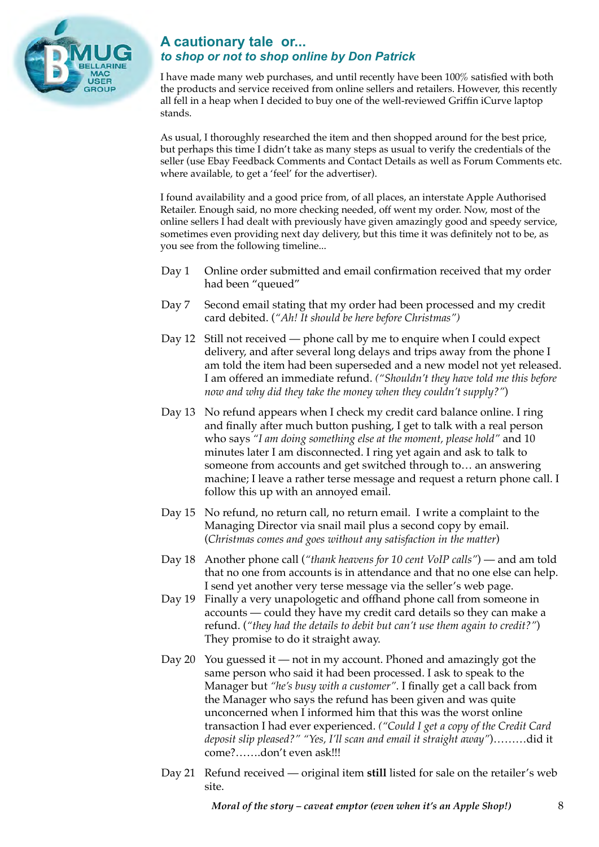<span id="page-7-0"></span>

#### **A cautionary tale or...** *to shop or not to shop online by Don Patrick*

I have made many web purchases, and until recently have been 100% satisfied with both the products and service received from online sellers and retailers. However, this recently all fell in a heap when I decided to buy one of the well-reviewed Griffin iCurve laptop stands.

As usual, I thoroughly researched the item and then shopped around for the best price, but perhaps this time I didn't take as many steps as usual to verify the credentials of the seller (use Ebay Feedback Comments and Contact Details as well as Forum Comments etc. where available, to get a 'feel' for the advertiser).

I found availability and a good price from, of all places, an interstate Apple Authorised Retailer. Enough said, no more checking needed, off went my order. Now, most of the online sellers I had dealt with previously have given amazingly good and speedy service, sometimes even providing next day delivery, but this time it was definitely not to be, as you see from the following timeline...

- Day 1 Online order submitted and email confirmation received that my order had been "queued"
- Day 7 Second email stating that my order had been processed and my credit card debited. (*"Ah! It should be here before Christmas")*
- Day 12 Still not received phone call by me to enquire when I could expect delivery, and after several long delays and trips away from the phone I am told the item had been superseded and a new model not yet released. I am offered an immediate refund. *("Shouldn't they have told me this before now and why did they take the money when they couldn't supply?"*)
- Day 13 No refund appears when I check my credit card balance online. I ring and finally after much button pushing, I get to talk with a real person who says *"I am doing something else at the moment, please hold"* and 10 minutes later I am disconnected. I ring yet again and ask to talk to someone from accounts and get switched through to… an answering machine; I leave a rather terse message and request a return phone call. I follow this up with an annoyed email.
- Day 15 No refund, no return call, no return email. I write a complaint to the Managing Director via snail mail plus a second copy by email. (*Christmas comes and goes without any satisfaction in the matter*)
- Day 18 Another phone call (*"thank heavens for 10 cent VoIP calls"*) and am told that no one from accounts is in attendance and that no one else can help. I send yet another very terse message via the seller's web page.
- Day 19 Finally a very unapologetic and offhand phone call from someone in accounts — could they have my credit card details so they can make a refund. (*"they had the details to debit but can't use them again to credit?"*) They promise to do it straight away.
- Day 20 You guessed it not in my account. Phoned and amazingly got the same person who said it had been processed. I ask to speak to the Manager but *"he's busy with a customer"*. I finally get a call back from the Manager who says the refund has been given and was quite unconcerned when I informed him that this was the worst online transaction I had ever experienced. *("Could I get a copy of the Credit Card deposit slip pleased?" "Yes, I'll scan and email it straight away"*)………did it come?…….don't even ask!!!
- Day 21 Refund received original item **still** listed for sale on the retailer's web site.